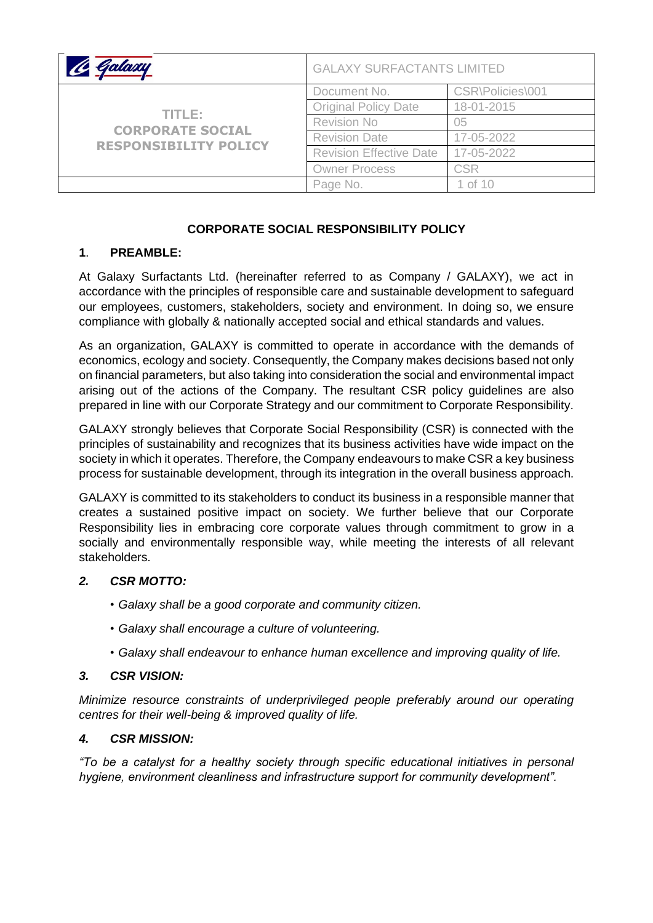| Galaxy                                                            | <b>GALAXY SURFACTANTS LIMITED</b> |                  |
|-------------------------------------------------------------------|-----------------------------------|------------------|
| TITLE:<br><b>CORPORATE SOCIAL</b><br><b>RESPONSIBILITY POLICY</b> | Document No.                      | CSR\Policies\001 |
|                                                                   | <b>Original Policy Date</b>       | 18-01-2015       |
|                                                                   | <b>Revision No</b>                | 05               |
|                                                                   | <b>Revision Date</b>              | 17-05-2022       |
|                                                                   | <b>Revision Effective Date</b>    | 17-05-2022       |
|                                                                   | <b>Owner Process</b>              | <b>CSR</b>       |
|                                                                   | Page No.                          | 1 of 10          |

# **CORPORATE SOCIAL RESPONSIBILITY POLICY**

## **1**. **PREAMBLE:**

At Galaxy Surfactants Ltd. (hereinafter referred to as Company / GALAXY), we act in accordance with the principles of responsible care and sustainable development to safeguard our employees, customers, stakeholders, society and environment. In doing so, we ensure compliance with globally & nationally accepted social and ethical standards and values.

As an organization, GALAXY is committed to operate in accordance with the demands of economics, ecology and society. Consequently, the Company makes decisions based not only on financial parameters, but also taking into consideration the social and environmental impact arising out of the actions of the Company. The resultant CSR policy guidelines are also prepared in line with our Corporate Strategy and our commitment to Corporate Responsibility.

GALAXY strongly believes that Corporate Social Responsibility (CSR) is connected with the principles of sustainability and recognizes that its business activities have wide impact on the society in which it operates. Therefore, the Company endeavours to make CSR a key business process for sustainable development, through its integration in the overall business approach.

GALAXY is committed to its stakeholders to conduct its business in a responsible manner that creates a sustained positive impact on society. We further believe that our Corporate Responsibility lies in embracing core corporate values through commitment to grow in a socially and environmentally responsible way, while meeting the interests of all relevant stakeholders.

## *2. CSR MOTTO:*

- *• Galaxy shall be a good corporate and community citizen.*
- *• Galaxy shall encourage a culture of volunteering.*
- *• Galaxy shall endeavour to enhance human excellence and improving quality of life.*

## *3. CSR VISION:*

*Minimize resource constraints of underprivileged people preferably around our operating centres for their well-being & improved quality of life.*

## *4. CSR MISSION:*

*"To be a catalyst for a healthy society through specific educational initiatives in personal hygiene, environment cleanliness and infrastructure support for community development".*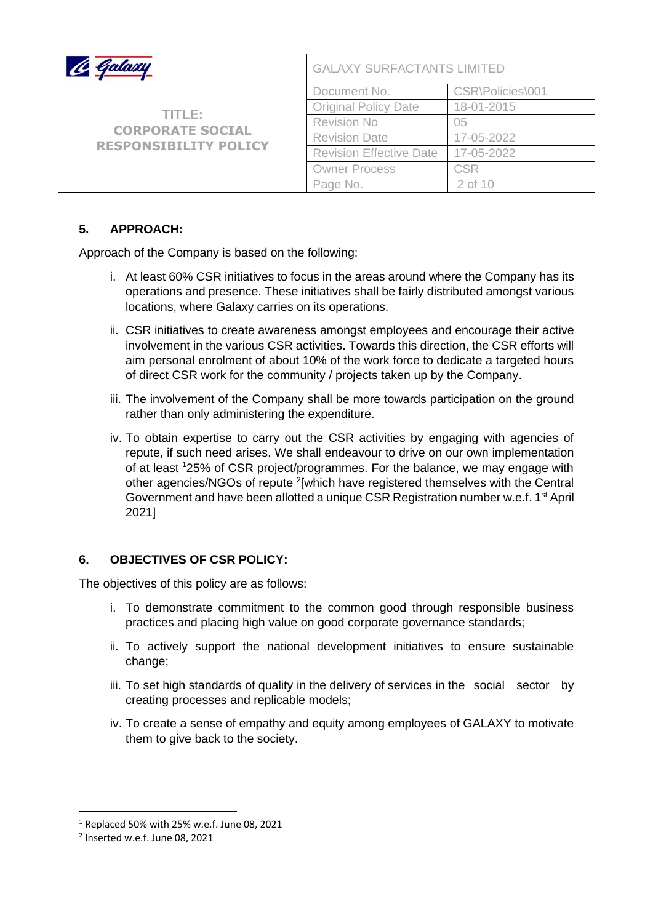|                                                                   | <b>GALAXY SURFACTANTS LIMITED</b> |                  |
|-------------------------------------------------------------------|-----------------------------------|------------------|
| TITLE:<br><b>CORPORATE SOCIAL</b><br><b>RESPONSIBILITY POLICY</b> | Document No.                      | CSR\Policies\001 |
|                                                                   | <b>Original Policy Date</b>       | 18-01-2015       |
|                                                                   | <b>Revision No</b>                | 05               |
|                                                                   | <b>Revision Date</b>              | 17-05-2022       |
|                                                                   | <b>Revision Effective Date</b>    | 17-05-2022       |
|                                                                   | <b>Owner Process</b>              | <b>CSR</b>       |
|                                                                   | Page No.                          | 2 of 10          |

# **5. APPROACH:**

Approach of the Company is based on the following:

- i. At least 60% CSR initiatives to focus in the areas around where the Company has its operations and presence. These initiatives shall be fairly distributed amongst various locations, where Galaxy carries on its operations.
- ii. CSR initiatives to create awareness amongst employees and encourage their active involvement in the various CSR activities. Towards this direction, the CSR efforts will aim personal enrolment of about 10% of the work force to dedicate a targeted hours of direct CSR work for the community / projects taken up by the Company.
- iii. The involvement of the Company shall be more towards participation on the ground rather than only administering the expenditure.
- iv. To obtain expertise to carry out the CSR activities by engaging with agencies of repute, if such need arises. We shall endeavour to drive on our own implementation of at least <sup>1</sup>25% of CSR project/programmes. For the balance, we may engage with other agencies/NGOs of repute <sup>2</sup>[which have registered themselves with the Central Government and have been allotted a unique CSR Registration number w.e.f. 1<sup>st</sup> April 2021]

## **6. OBJECTIVES OF CSR POLICY:**

The objectives of this policy are as follows:

- i. To demonstrate commitment to the common good through responsible business practices and placing high value on good corporate governance standards;
- ii. To actively support the national development initiatives to ensure sustainable change;
- iii. To set high standards of quality in the delivery of services in the social sector by creating processes and replicable models;
- iv. To create a sense of empathy and equity among employees of GALAXY to motivate them to give back to the society.

<sup>1</sup> Replaced 50% with 25% w.e.f. June 08, 2021

<sup>2</sup> Inserted w.e.f. June 08, 2021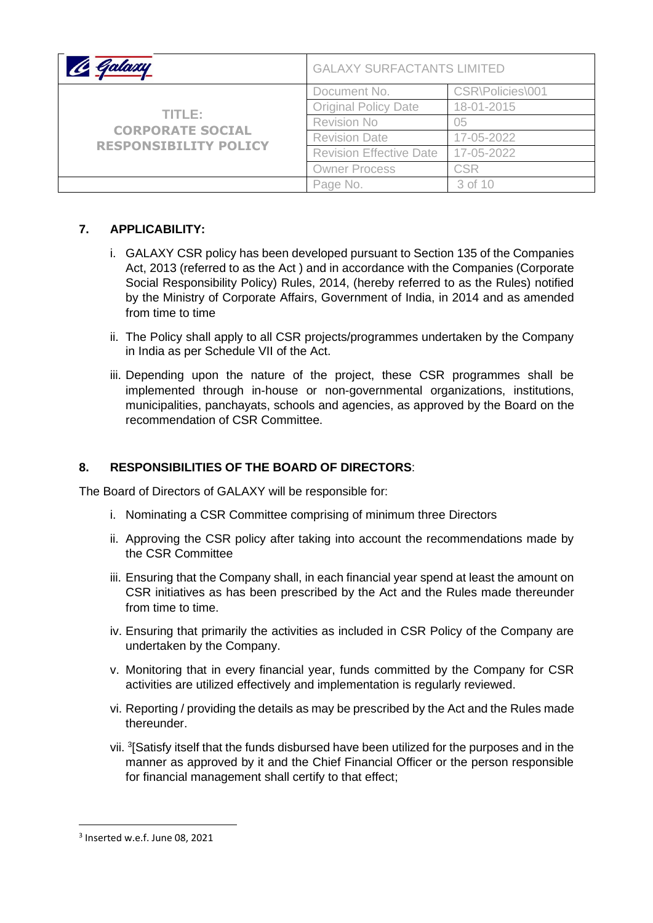|                                                                   | <b>GALAXY SURFACTANTS LIMITED</b> |                  |
|-------------------------------------------------------------------|-----------------------------------|------------------|
| TITLE:<br><b>CORPORATE SOCIAL</b><br><b>RESPONSIBILITY POLICY</b> | Document No.                      | CSR\Policies\001 |
|                                                                   | <b>Original Policy Date</b>       | 18-01-2015       |
|                                                                   | <b>Revision No</b>                | 05               |
|                                                                   | <b>Revision Date</b>              | 17-05-2022       |
|                                                                   | <b>Revision Effective Date</b>    | 17-05-2022       |
|                                                                   | <b>Owner Process</b>              | <b>CSR</b>       |
|                                                                   | Page No.                          | 3 of 10          |

# **7. APPLICABILITY:**

- i. GALAXY CSR policy has been developed pursuant to Section 135 of the Companies Act, 2013 (referred to as the Act ) and in accordance with the Companies (Corporate Social Responsibility Policy) Rules, 2014, (hereby referred to as the Rules) notified by the Ministry of Corporate Affairs, Government of India, in 2014 and as amended from time to time
- ii. The Policy shall apply to all CSR projects/programmes undertaken by the Company in India as per Schedule VII of the Act.
- iii. Depending upon the nature of the project, these CSR programmes shall be implemented through in-house or non-governmental organizations, institutions, municipalities, panchayats, schools and agencies, as approved by the Board on the recommendation of CSR Committee.

# **8. RESPONSIBILITIES OF THE BOARD OF DIRECTORS**:

The Board of Directors of GALAXY will be responsible for:

- i. Nominating a CSR Committee comprising of minimum three Directors
- ii. Approving the CSR policy after taking into account the recommendations made by the CSR Committee
- iii. Ensuring that the Company shall, in each financial year spend at least the amount on CSR initiatives as has been prescribed by the Act and the Rules made thereunder from time to time.
- iv. Ensuring that primarily the activities as included in CSR Policy of the Company are undertaken by the Company.
- v. Monitoring that in every financial year, funds committed by the Company for CSR activities are utilized effectively and implementation is regularly reviewed.
- vi. Reporting / providing the details as may be prescribed by the Act and the Rules made thereunder.
- vii. <sup>3</sup>[Satisfy itself that the funds disbursed have been utilized for the purposes and in the manner as approved by it and the Chief Financial Officer or the person responsible for financial management shall certify to that effect;

<sup>3</sup> Inserted w.e.f. June 08, 2021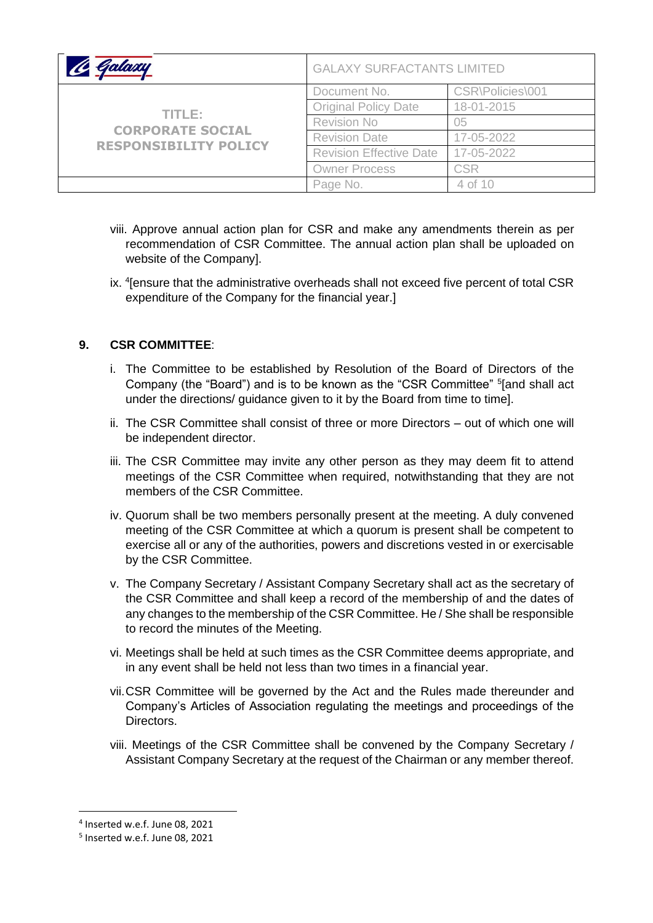| Inland                                                            | <b>GALAXY SURFACTANTS LIMITED</b> |                  |
|-------------------------------------------------------------------|-----------------------------------|------------------|
| TITLE:<br><b>CORPORATE SOCIAL</b><br><b>RESPONSIBILITY POLICY</b> | Document No.                      | CSR\Policies\001 |
|                                                                   | <b>Original Policy Date</b>       | 18-01-2015       |
|                                                                   | <b>Revision No</b>                | 05               |
|                                                                   | <b>Revision Date</b>              | 17-05-2022       |
|                                                                   | <b>Revision Effective Date</b>    | 17-05-2022       |
|                                                                   | <b>Owner Process</b>              | <b>CSR</b>       |
|                                                                   | Page No.                          | 4 of 10          |

- viii. Approve annual action plan for CSR and make any amendments therein as per recommendation of CSR Committee. The annual action plan shall be uploaded on website of the Company].
- ix. <sup>4</sup> [ensure that the administrative overheads shall not exceed five percent of total CSR expenditure of the Company for the financial year.]

## **9. CSR COMMITTEE**:

- i. The Committee to be established by Resolution of the Board of Directors of the Company (the "Board") and is to be known as the "CSR Committee" <sup>5</sup>[and shall act under the directions/ guidance given to it by the Board from time to time].
- ii. The CSR Committee shall consist of three or more Directors out of which one will be independent director.
- iii. The CSR Committee may invite any other person as they may deem fit to attend meetings of the CSR Committee when required, notwithstanding that they are not members of the CSR Committee.
- iv. Quorum shall be two members personally present at the meeting. A duly convened meeting of the CSR Committee at which a quorum is present shall be competent to exercise all or any of the authorities, powers and discretions vested in or exercisable by the CSR Committee.
- v. The Company Secretary / Assistant Company Secretary shall act as the secretary of the CSR Committee and shall keep a record of the membership of and the dates of any changes to the membership of the CSR Committee. He / She shall be responsible to record the minutes of the Meeting.
- vi. Meetings shall be held at such times as the CSR Committee deems appropriate, and in any event shall be held not less than two times in a financial year.
- vii.CSR Committee will be governed by the Act and the Rules made thereunder and Company's Articles of Association regulating the meetings and proceedings of the Directors.
- viii. Meetings of the CSR Committee shall be convened by the Company Secretary / Assistant Company Secretary at the request of the Chairman or any member thereof.

<sup>4</sup> Inserted w.e.f. June 08, 2021

<sup>5</sup> Inserted w.e.f. June 08, 2021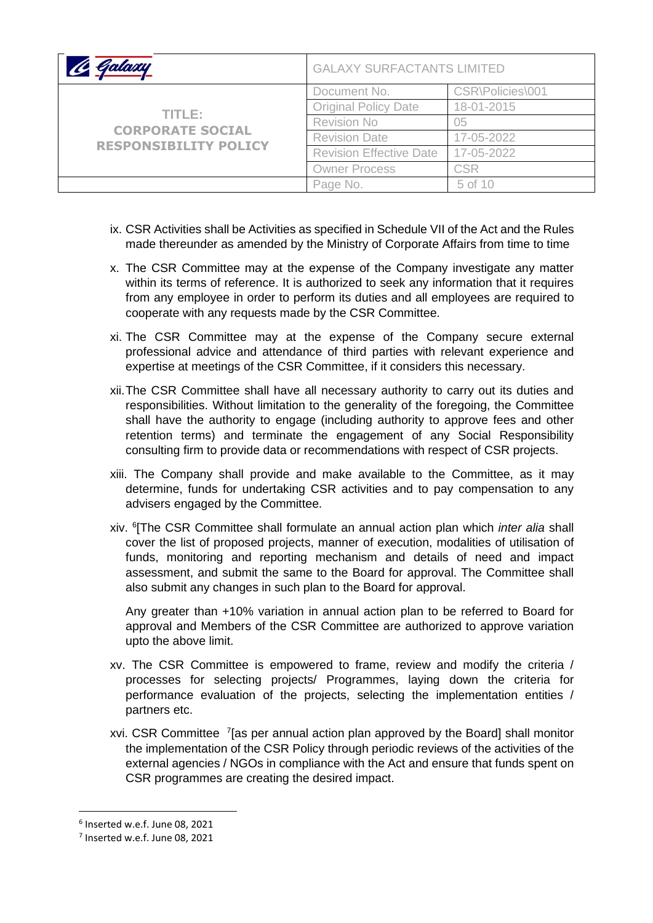| Talaxy                                                            | <b>GALAXY SURFACTANTS LIMITED</b> |                  |
|-------------------------------------------------------------------|-----------------------------------|------------------|
| TITLE:<br><b>CORPORATE SOCIAL</b><br><b>RESPONSIBILITY POLICY</b> | Document No.                      | CSR\Policies\001 |
|                                                                   | <b>Original Policy Date</b>       | 18-01-2015       |
|                                                                   | <b>Revision No</b>                | 05               |
|                                                                   | <b>Revision Date</b>              | 17-05-2022       |
|                                                                   | <b>Revision Effective Date</b>    | 17-05-2022       |
|                                                                   | <b>Owner Process</b>              | <b>CSR</b>       |
|                                                                   | Page No.                          | 5 of 10          |

- ix. CSR Activities shall be Activities as specified in Schedule VII of the Act and the Rules made thereunder as amended by the Ministry of Corporate Affairs from time to time
- x. The CSR Committee may at the expense of the Company investigate any matter within its terms of reference. It is authorized to seek any information that it requires from any employee in order to perform its duties and all employees are required to cooperate with any requests made by the CSR Committee.
- xi. The CSR Committee may at the expense of the Company secure external professional advice and attendance of third parties with relevant experience and expertise at meetings of the CSR Committee, if it considers this necessary.
- xii.The CSR Committee shall have all necessary authority to carry out its duties and responsibilities. Without limitation to the generality of the foregoing, the Committee shall have the authority to engage (including authority to approve fees and other retention terms) and terminate the engagement of any Social Responsibility consulting firm to provide data or recommendations with respect of CSR projects.
- xiii. The Company shall provide and make available to the Committee, as it may determine, funds for undertaking CSR activities and to pay compensation to any advisers engaged by the Committee.
- xiv. <sup>6</sup> [The CSR Committee shall formulate an annual action plan which *inter alia* shall cover the list of proposed projects, manner of execution, modalities of utilisation of funds, monitoring and reporting mechanism and details of need and impact assessment, and submit the same to the Board for approval. The Committee shall also submit any changes in such plan to the Board for approval.

Any greater than +10% variation in annual action plan to be referred to Board for approval and Members of the CSR Committee are authorized to approve variation upto the above limit.

- xv. The CSR Committee is empowered to frame, review and modify the criteria / processes for selecting projects/ Programmes, laying down the criteria for performance evaluation of the projects, selecting the implementation entities / partners etc.
- xvi. CSR Committee <sup>7</sup> [as per annual action plan approved by the Board] shall monitor the implementation of the CSR Policy through periodic reviews of the activities of the external agencies / NGOs in compliance with the Act and ensure that funds spent on CSR programmes are creating the desired impact.

<sup>6</sup> Inserted w.e.f. June 08, 2021

<sup>7</sup> Inserted w.e.f. June 08, 2021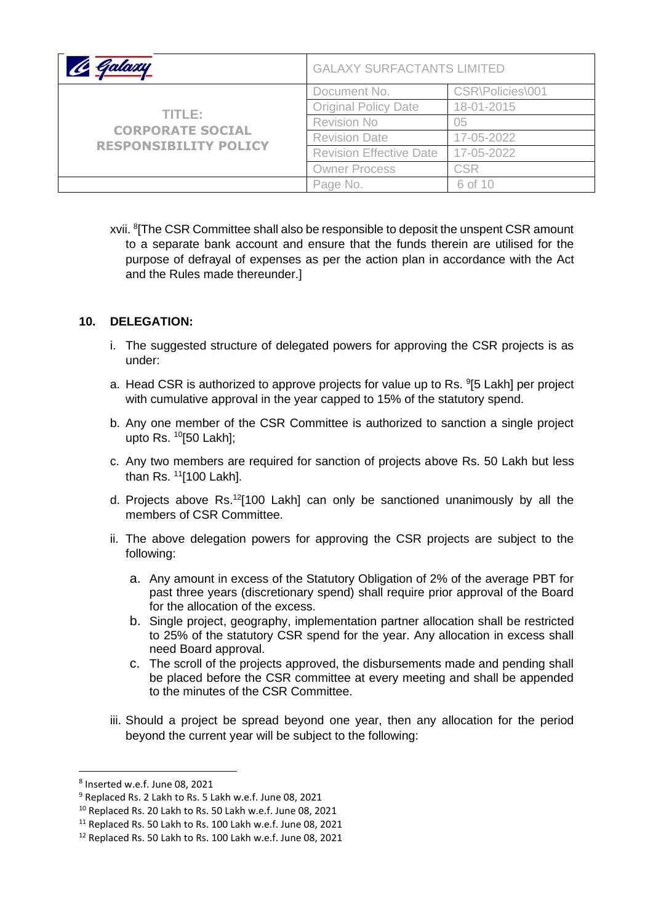|                                                                   | <b>GALAXY SURFACTANTS LIMITED</b> |                  |
|-------------------------------------------------------------------|-----------------------------------|------------------|
| TITLE:<br><b>CORPORATE SOCIAL</b><br><b>RESPONSIBILITY POLICY</b> | Document No.                      | CSR\Policies\001 |
|                                                                   | <b>Original Policy Date</b>       | 18-01-2015       |
|                                                                   | <b>Revision No</b>                | 05               |
|                                                                   | <b>Revision Date</b>              | 17-05-2022       |
|                                                                   | <b>Revision Effective Date</b>    | 17-05-2022       |
|                                                                   | <b>Owner Process</b>              | <b>CSR</b>       |
|                                                                   | Page No.                          | 6 of 10          |

xvii. <sup>8</sup>[The CSR Committee shall also be responsible to deposit the unspent CSR amount to a separate bank account and ensure that the funds therein are utilised for the purpose of defrayal of expenses as per the action plan in accordance with the Act and the Rules made thereunder.]

### **10. DELEGATION:**

- i. The suggested structure of delegated powers for approving the CSR projects is as under:
- a. Head CSR is authorized to approve projects for value up to Rs. <sup>9</sup>[5 Lakh] per project with cumulative approval in the year capped to 15% of the statutory spend.
- b. Any one member of the CSR Committee is authorized to sanction a single project upto Rs.  $^{10}$ [50 Lakh];
- c. Any two members are required for sanction of projects above Rs. 50 Lakh but less than Rs.  $11$ [100 Lakh].
- d. Projects above Rs.<sup>12</sup>[100 Lakh] can only be sanctioned unanimously by all the members of CSR Committee.
- ii. The above delegation powers for approving the CSR projects are subject to the following:
	- a. Any amount in excess of the Statutory Obligation of 2% of the average PBT for past three years (discretionary spend) shall require prior approval of the Board for the allocation of the excess.
	- b. Single project, geography, implementation partner allocation shall be restricted to 25% of the statutory CSR spend for the year. Any allocation in excess shall need Board approval.
	- c. The scroll of the projects approved, the disbursements made and pending shall be placed before the CSR committee at every meeting and shall be appended to the minutes of the CSR Committee.
- iii. Should a project be spread beyond one year, then any allocation for the period beyond the current year will be subject to the following:

<sup>8</sup> Inserted w.e.f. June 08, 2021

<sup>9</sup> Replaced Rs. 2 Lakh to Rs. 5 Lakh w.e.f. June 08, 2021

<sup>10</sup> Replaced Rs. 20 Lakh to Rs. 50 Lakh w.e.f. June 08, 2021

<sup>&</sup>lt;sup>11</sup> Replaced Rs. 50 Lakh to Rs. 100 Lakh w.e.f. June 08, 2021

<sup>12</sup> Replaced Rs. 50 Lakh to Rs. 100 Lakh w.e.f. June 08, 2021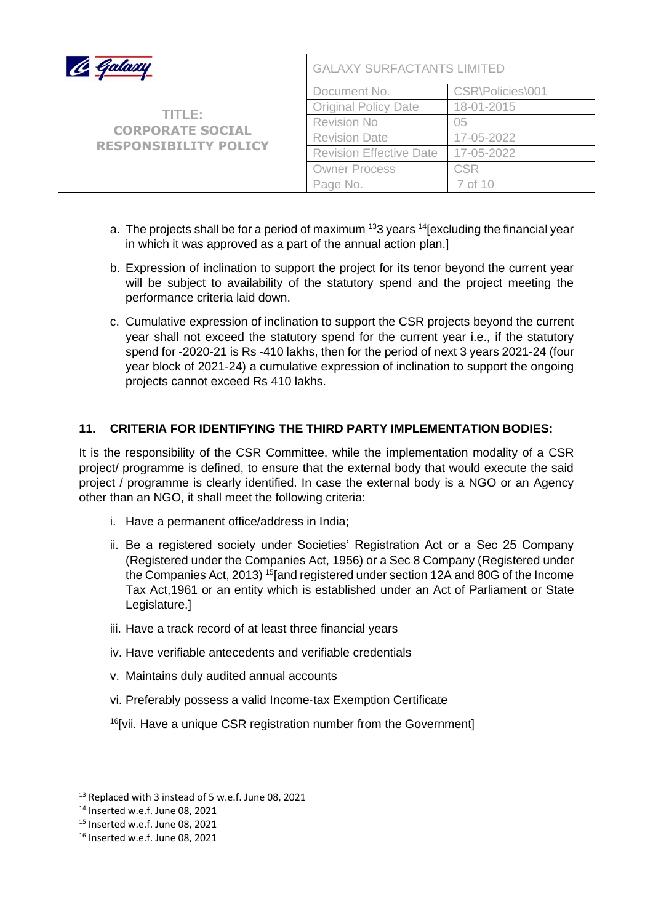| Galaxy                                                            | <b>GALAXY SURFACTANTS LIMITED</b> |                  |
|-------------------------------------------------------------------|-----------------------------------|------------------|
| TITLE:<br><b>CORPORATE SOCIAL</b><br><b>RESPONSIBILITY POLICY</b> | Document No.                      | CSR\Policies\001 |
|                                                                   | <b>Original Policy Date</b>       | 18-01-2015       |
|                                                                   | <b>Revision No</b>                | 05               |
|                                                                   | <b>Revision Date</b>              | 17-05-2022       |
|                                                                   | <b>Revision Effective Date</b>    | 17-05-2022       |
|                                                                   | <b>Owner Process</b>              | <b>CSR</b>       |
|                                                                   | Page No.                          | 7 of 10          |

- a. The projects shall be for a period of maximum<sup>13</sup>3 years <sup>14</sup>[excluding the financial year in which it was approved as a part of the annual action plan.]
- b. Expression of inclination to support the project for its tenor beyond the current year will be subject to availability of the statutory spend and the project meeting the performance criteria laid down.
- c. Cumulative expression of inclination to support the CSR projects beyond the current year shall not exceed the statutory spend for the current year i.e., if the statutory spend for -2020-21 is Rs -410 lakhs, then for the period of next 3 years 2021-24 (four year block of 2021-24) a cumulative expression of inclination to support the ongoing projects cannot exceed Rs 410 lakhs.

## **11. CRITERIA FOR IDENTIFYING THE THIRD PARTY IMPLEMENTATION BODIES:**

It is the responsibility of the CSR Committee, while the implementation modality of a CSR project/ programme is defined, to ensure that the external body that would execute the said project / programme is clearly identified. In case the external body is a NGO or an Agency other than an NGO, it shall meet the following criteria:

- i. Have a permanent office/address in India;
- ii. Be a registered society under Societies' Registration Act or a Sec 25 Company (Registered under the Companies Act, 1956) or a Sec 8 Company (Registered under the Companies Act, 2013) <sup>15</sup>[and registered under section 12A and 80G of the Income Tax Act,1961 or an entity which is established under an Act of Parliament or State Legislature.]
- iii. Have a track record of at least three financial years
- iv. Have verifiable antecedents and verifiable credentials
- v. Maintains duly audited annual accounts
- vi. Preferably possess a valid Income‐tax Exemption Certificate
- $16$ [vii. Have a unique CSR registration number from the Government]

<sup>&</sup>lt;sup>13</sup> Replaced with 3 instead of 5 w.e.f. June 08, 2021

<sup>14</sup> Inserted w.e.f. June 08, 2021

<sup>&</sup>lt;sup>15</sup> Inserted w.e.f. June 08, 2021

<sup>16</sup> Inserted w.e.f. June 08, 2021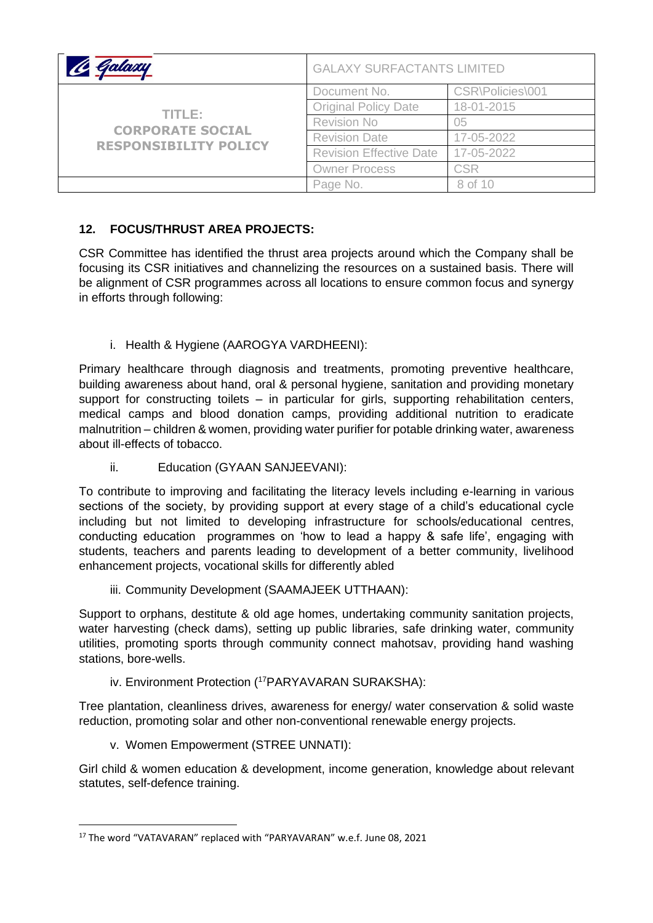| Jalaxy                                                            | <b>GALAXY SURFACTANTS LIMITED</b> |                  |
|-------------------------------------------------------------------|-----------------------------------|------------------|
| TITLE:<br><b>CORPORATE SOCIAL</b><br><b>RESPONSIBILITY POLICY</b> | Document No.                      | CSR\Policies\001 |
|                                                                   | <b>Original Policy Date</b>       | 18-01-2015       |
|                                                                   | <b>Revision No</b>                | 05               |
|                                                                   | <b>Revision Date</b>              | 17-05-2022       |
|                                                                   | <b>Revision Effective Date</b>    | 17-05-2022       |
|                                                                   | <b>Owner Process</b>              | <b>CSR</b>       |
|                                                                   | Page No.                          | 8 of 10          |

# **12. FOCUS/THRUST AREA PROJECTS:**

CSR Committee has identified the thrust area projects around which the Company shall be focusing its CSR initiatives and channelizing the resources on a sustained basis. There will be alignment of CSR programmes across all locations to ensure common focus and synergy in efforts through following:

i. Health & Hygiene (AAROGYA VARDHEENI):

Primary healthcare through diagnosis and treatments, promoting preventive healthcare, building awareness about hand, oral & personal hygiene, sanitation and providing monetary support for constructing toilets  $-$  in particular for girls, supporting rehabilitation centers, medical camps and blood donation camps, providing additional nutrition to eradicate malnutrition – children & women, providing water purifier for potable drinking water, awareness about ill-effects of tobacco.

ii. Education (GYAAN SANJEEVANI):

To contribute to improving and facilitating the literacy levels including e-learning in various sections of the society, by providing support at every stage of a child's educational cycle including but not limited to developing infrastructure for schools/educational centres, conducting education programmes on 'how to lead a happy & safe life', engaging with students, teachers and parents leading to development of a better community, livelihood enhancement projects, vocational skills for differently abled

iii. Community Development (SAAMAJEEK UTTHAAN):

Support to orphans, destitute & old age homes, undertaking community sanitation projects, water harvesting (check dams), setting up public libraries, safe drinking water, community utilities, promoting sports through community connect mahotsav, providing hand washing stations, bore-wells.

iv. Environment Protection (<sup>17</sup>PARYAVARAN SURAKSHA):

Tree plantation, cleanliness drives, awareness for energy/ water conservation & solid waste reduction, promoting solar and other non-conventional renewable energy projects.

v. Women Empowerment (STREE UNNATI):

Girl child & women education & development, income generation, knowledge about relevant statutes, self-defence training.

<sup>17</sup> The word "VATAVARAN" replaced with "PARYAVARAN" w.e.f. June 08, 2021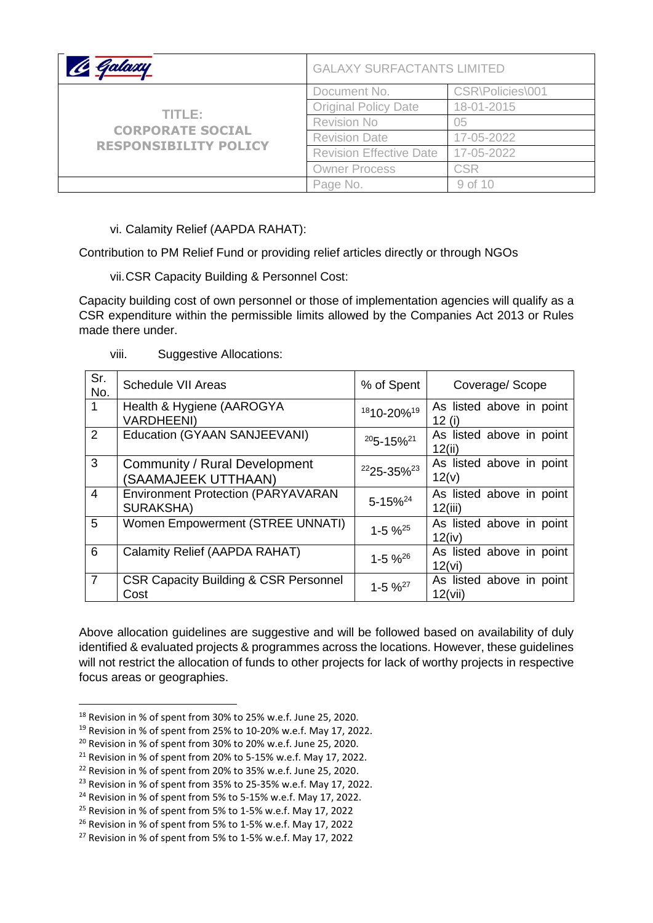| Jalaxy                                                            | <b>GALAXY SURFACTANTS LIMITED</b> |                  |
|-------------------------------------------------------------------|-----------------------------------|------------------|
| TITLE:<br><b>CORPORATE SOCIAL</b><br><b>RESPONSIBILITY POLICY</b> | Document No.                      | CSR\Policies\001 |
|                                                                   | <b>Original Policy Date</b>       | 18-01-2015       |
|                                                                   | <b>Revision No</b>                | 05               |
|                                                                   | <b>Revision Date</b>              | 17-05-2022       |
|                                                                   | <b>Revision Effective Date</b>    | 17-05-2022       |
|                                                                   | <b>Owner Process</b>              | <b>CSR</b>       |
|                                                                   | Page No.                          | 9 of 10          |

vi. Calamity Relief (AAPDA RAHAT):

Contribution to PM Relief Fund or providing relief articles directly or through NGOs

vii.CSR Capacity Building & Personnel Cost:

Capacity building cost of own personnel or those of implementation agencies will qualify as a CSR expenditure within the permissible limits allowed by the Companies Act 2013 or Rules made there under.

| .<br>VIII. | <b>Suggestive Allocations:</b> |
|------------|--------------------------------|
|------------|--------------------------------|

| Sr.<br>No.     | <b>Schedule VII Areas</b>                                     | % of Spent                 | Coverage/Scope                       |
|----------------|---------------------------------------------------------------|----------------------------|--------------------------------------|
|                | Health & Hygiene (AAROGYA<br><b>VARDHEENI)</b>                | 1810-20% <sup>19</sup>     | As listed above in point<br>12 $(i)$ |
| 2              | Education (GYAAN SANJEEVANI)                                  | $205 - 15\%$ <sup>21</sup> | As listed above in point<br>12(ii)   |
| 3              | Community / Rural Development<br>(SAAMAJEEK UTTHAAN)          | 2225-35% <sup>23</sup>     | As listed above in point<br>12(v)    |
| $\overline{4}$ | <b>Environment Protection (PARYAVARAN</b><br><b>SURAKSHA)</b> | 5-15% <sup>24</sup>        | As listed above in point<br>12(iii)  |
| 5              | Women Empowerment (STREE UNNATI)                              | $1 - 5 \%^{25}$            | As listed above in point<br>12(iv)   |
| 6              | Calamity Relief (AAPDA RAHAT)                                 | $1 - 5 \%^{26}$            | As listed above in point<br>12(vi)   |
| $\overline{7}$ | <b>CSR Capacity Building &amp; CSR Personnel</b><br>Cost      | $1 - 5 \%^{27}$            | As listed above in point<br>12(vii)  |

Above allocation guidelines are suggestive and will be followed based on availability of duly identified & evaluated projects & programmes across the locations. However, these guidelines will not restrict the allocation of funds to other projects for lack of worthy projects in respective focus areas or geographies.

<sup>18</sup> Revision in % of spent from 30% to 25% w.e.f. June 25, 2020.

 $19$  Revision in % of spent from 25% to 10-20% w.e.f. May 17, 2022.

<sup>20</sup> Revision in % of spent from 30% to 20% w.e.f. June 25, 2020.

 $21$  Revision in % of spent from 20% to 5-15% w.e.f. May 17, 2022.

<sup>22</sup> Revision in % of spent from 20% to 35% w.e.f. June 25, 2020.

<sup>23</sup> Revision in % of spent from 35% to 25-35% w.e.f. May 17, 2022.

 $24$  Revision in % of spent from 5% to 5-15% w.e.f. May 17, 2022.

<sup>&</sup>lt;sup>25</sup> Revision in % of spent from 5% to 1-5% w.e.f. May 17, 2022

<sup>&</sup>lt;sup>26</sup> Revision in % of spent from 5% to 1-5% w.e.f. May 17, 2022

<sup>27</sup> Revision in % of spent from 5% to 1-5% w.e.f. May 17, 2022